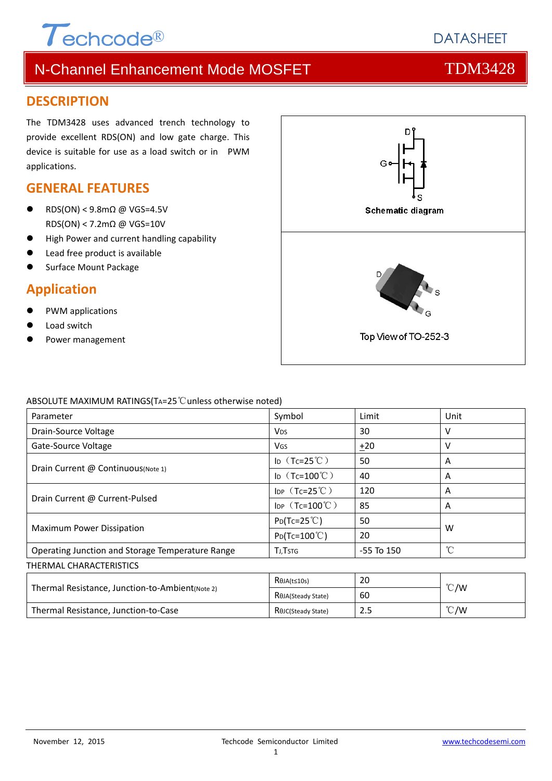

### **DESCRIPTION**

The TDM3428 uses advanced trench technology to provide excellent RDS(ON) and low gate charge. This device is suitable for use as a load switch or in PWM applications.

### **GENERAL FEATURES**

- RDS(ON) < 9.8mΩ @ VGS=4.5V RDS(ON) < 7.2mΩ @ VGS=10V
- High Power and current handling capability
- Lead free product is available
- Surface Mount Package

## **Application**

- PWM applications
- Load switch
- Power management



### ABSOLUTE MAXIMUM RATINGS(TA=25℃unless otherwise noted)

| Parameter                                        | Symbol                          | Limit          | Unit          |
|--------------------------------------------------|---------------------------------|----------------|---------------|
| Drain-Source Voltage                             | <b>V<sub>DS</sub></b>           | 30             | v             |
| Gate-Source Voltage                              | VGS                             | $+20$          | v             |
| Drain Current @ Continuous(Note 1)               | ID $(Tc=25^{\circ}C)$           | 50             | A             |
|                                                  | ID $(Tc=100^{\circ}C)$          | 40             | A             |
| Drain Current @ Current-Pulsed                   | IDP $(Tc=25^{\circ}C)$          | 120            | A             |
|                                                  | IDP $(Tc=100^{\circ}C)$         | 85             | A             |
|                                                  | $P_{D}(Tc=25^{\circ}C)$         | 50             |               |
| Maximum Power Dissipation                        | $P_D(Tc=100^{\circ}C)$          | 20             | W             |
| Operating Junction and Storage Temperature Range | <b>TJ,TSTG</b>                  | $-55$ To $150$ | $^{\circ}$ C  |
| THERMAL CHARACTERISTICS                          |                                 |                |               |
| Thermal Resistance, Junction-to-Ambient(Note 2)  | $R\theta$ JA(t≤10s)             | 20             |               |
|                                                  | R <sub>OJ</sub> A(Steady State) | 60             | $\degree$ C/W |

Thermal Resistance, Junction‐to‐Case Result Reuc(Steady State) 2.5 (C/W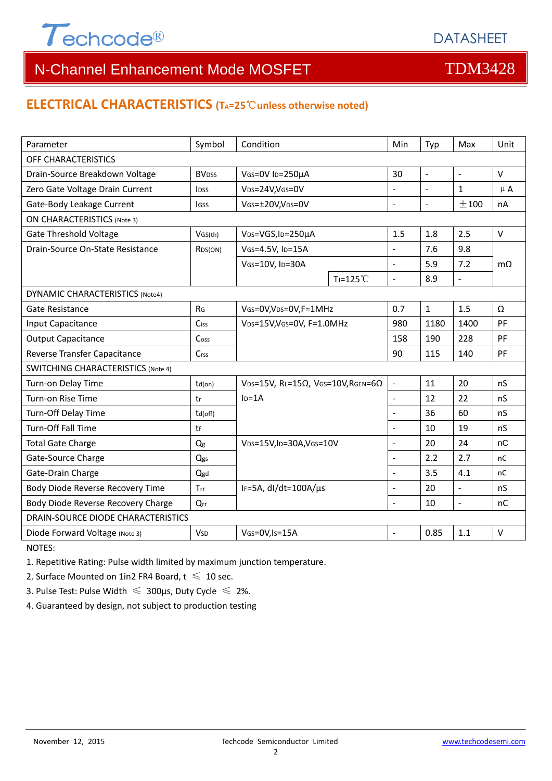

## **ELECTRICAL CHARACTERISTICS (TA=25**℃**unless otherwise noted)**

| Parameter                                 | Symbol                   | Condition                                                     |                     | Min            | Typ            | Max            | Unit      |  |
|-------------------------------------------|--------------------------|---------------------------------------------------------------|---------------------|----------------|----------------|----------------|-----------|--|
| OFF CHARACTERISTICS                       |                          |                                                               |                     |                |                |                |           |  |
| Drain-Source Breakdown Voltage            | <b>BV</b> <sub>DSS</sub> | VGS=0V ID=250µA                                               |                     |                | $\mathbb{L}$   | $\omega$       | V         |  |
| Zero Gate Voltage Drain Current           | <b>IDSS</b>              | V <sub>DS</sub> =24V,V <sub>GS</sub> =0V                      |                     |                | $\blacksquare$ | $\mathbf{1}$   | $\mu$ A   |  |
| Gate-Body Leakage Current                 | <b>IGSS</b>              | VGS=±20V,VDS=0V                                               |                     | $\overline{a}$ | $\blacksquare$ | ±100           | nA        |  |
| <b>ON CHARACTERISTICS (Note 3)</b>        |                          |                                                               |                     |                |                |                |           |  |
| <b>Gate Threshold Voltage</b>             | VGS(th)                  | V <sub>DS</sub> =VGS, I <sub>D</sub> =250µA                   |                     | 1.5            | 1.8            | 2.5            | $\vee$    |  |
| Drain-Source On-State Resistance          | R <sub>DS</sub> (ON)     | VGS=4.5V, ID=15A                                              |                     | $\overline{a}$ | 7.6            | 9.8            |           |  |
|                                           |                          | VGS=10V, ID=30A                                               |                     | $\overline{a}$ | 5.9            | 7.2            | $m\Omega$ |  |
|                                           |                          |                                                               | $T_J = 125^{\circ}$ | $\overline{a}$ | 8.9            | $\equiv$       |           |  |
| <b>DYNAMIC CHARACTERISTICS (Note4)</b>    |                          |                                                               |                     |                |                |                |           |  |
| Gate Resistance                           | R <sub>G</sub>           | VGS=0V, VDS=0V, F=1MHz                                        |                     | 0.7            | $\mathbf{1}$   | 1.5            | Ω         |  |
| Input Capacitance                         | Ciss                     | VDS=15V, VGS=0V, F=1.0MHz                                     |                     | 980            | 1180           | 1400           | PF        |  |
| <b>Output Capacitance</b>                 | Coss                     |                                                               |                     | 158            | 190            | 228            | PF        |  |
| Reverse Transfer Capacitance              | Crss                     |                                                               |                     | 90             | 115            | 140            | PF        |  |
| <b>SWITCHING CHARACTERISTICS (Note 4)</b> |                          |                                                               |                     |                |                |                |           |  |
| Turn-on Delay Time                        | $td($ on $)$             | VDS=15V, RL=15 $\Omega$ , VGS=10V, RGEN=6 $\Omega$<br>$ID=1A$ |                     | $\Box$         | 11             | 20             | nS        |  |
| Turn-on Rise Time                         | tr                       |                                                               |                     | $\overline{a}$ | 12             | 22             | nS        |  |
| Turn-Off Delay Time                       | $td($ off $)$            |                                                               |                     |                | 36             | 60             | nS        |  |
| Turn-Off Fall Time                        | tf                       |                                                               |                     | L.             | 10             | 19             | nS        |  |
| <b>Total Gate Charge</b>                  | Qg                       | V <sub>DS</sub> =15V,I <sub>D</sub> =30A,V <sub>GS</sub> =10V |                     | $\overline{a}$ | 20             | 24             | nC        |  |
| Gate-Source Charge                        | Qgs                      |                                                               |                     | $\overline{a}$ | 2.2            | 2.7            | nC        |  |
| Gate-Drain Charge                         | Qgd                      |                                                               |                     | $\overline{a}$ | 3.5            | 4.1            | nC        |  |
| Body Diode Reverse Recovery Time          | Trr                      | IF=5A, dl/dt=100A/us                                          |                     | $\overline{a}$ | 20             | $\overline{a}$ | nS        |  |
| Body Diode Reverse Recovery Charge        | Qrr                      |                                                               |                     | $\overline{a}$ | 10             | $\Box$         | nC        |  |
| DRAIN-SOURCE DIODE CHARACTERISTICS        |                          |                                                               |                     |                |                |                |           |  |
| Diode Forward Voltage (Note 3)            | <b>V<sub>SD</sub></b>    | VGS=0V,Is=15A                                                 |                     |                | 0.85           | 1.1            | $\vee$    |  |

NOTES:

1. Repetitive Rating: Pulse width limited by maximum junction temperature.

2. Surface Mounted on 1in2 FR4 Board,  $t \leq 10$  sec.

3. Pulse Test: Pulse Width  $\leq 300$ μs, Duty Cycle  $\leq 2\%$ .

4. Guaranteed by design, not subject to production testing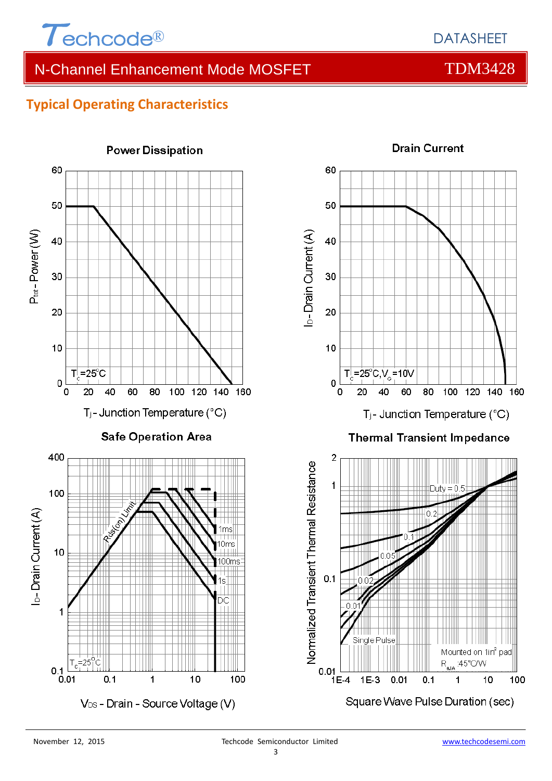

## **Typical Operating Characteristics**

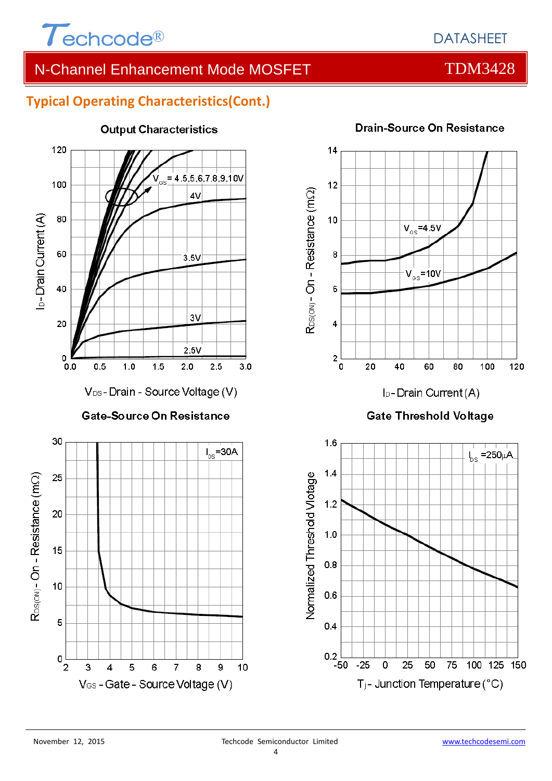

## **Typical Operating Characteristics(Cont.)**



### **Output Characteristics**



**Drain-Source On Resistance** 

## I<sub>D</sub>-Drain Current (A) **Gate Threshold Voltage**

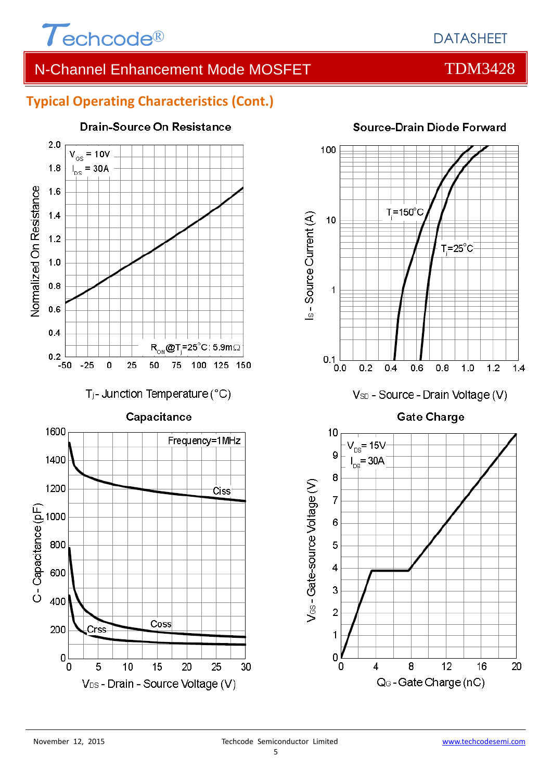

## **Typical Operating Characteristics (Cont.)**



## **Drain-Source On Resistance**



## **Source-Drain Diode Forward**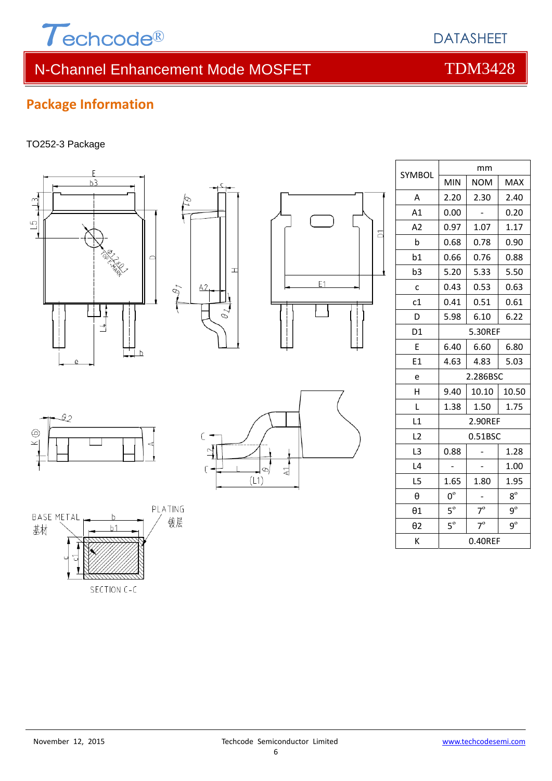

## **Package Information**

### TO252-3 Package













| <b>SYMBOL</b>  | mm          |            |             |  |  |
|----------------|-------------|------------|-------------|--|--|
|                | <b>MIN</b>  | <b>NOM</b> | <b>MAX</b>  |  |  |
| Α              | 2.20        | 2.30       | 2.40        |  |  |
| A1             | 0.00        |            | 0.20        |  |  |
| A2             | 0.97        | 1.07       | 1.17        |  |  |
| b              | 0.68        | 0.78       | 0.90        |  |  |
| b1             | 0.66        | 0.76       | 0.88        |  |  |
| b3             | 5.20        | 5.33       | 5.50        |  |  |
| C              | 0.43        | 0.53       | 0.63        |  |  |
| c1             | 0.41        | 0.51       | 0.61        |  |  |
| D              | 5.98        | 6.10       | 6.22        |  |  |
| D <sub>1</sub> | 5.30REF     |            |             |  |  |
| E              | 6.40        | 6.60       | 6.80        |  |  |
| E1             | 4.63        | 4.83       | 5.03        |  |  |
| е              | 2.286BSC    |            |             |  |  |
| Η              | 9.40        | 10.10      | 10.50       |  |  |
| L              | 1.38        | 1.50       | 1.75        |  |  |
| L1             | 2.90REF     |            |             |  |  |
| L2             | $0.51$ BSC  |            |             |  |  |
| L3             | 0.88        |            | 1.28        |  |  |
| L4             |             |            | 1.00        |  |  |
| L5             | 1.65        | 1.80       | 1.95        |  |  |
| θ              | $0^{\circ}$ |            | $8^{\circ}$ |  |  |
| $\theta$ 1     | $5^\circ$   | $7^\circ$  | $9^{\circ}$ |  |  |
| θ2             | $5^\circ$   | $7^\circ$  | $9^{\circ}$ |  |  |
| Κ              | 0.40REF     |            |             |  |  |

DATASHEET